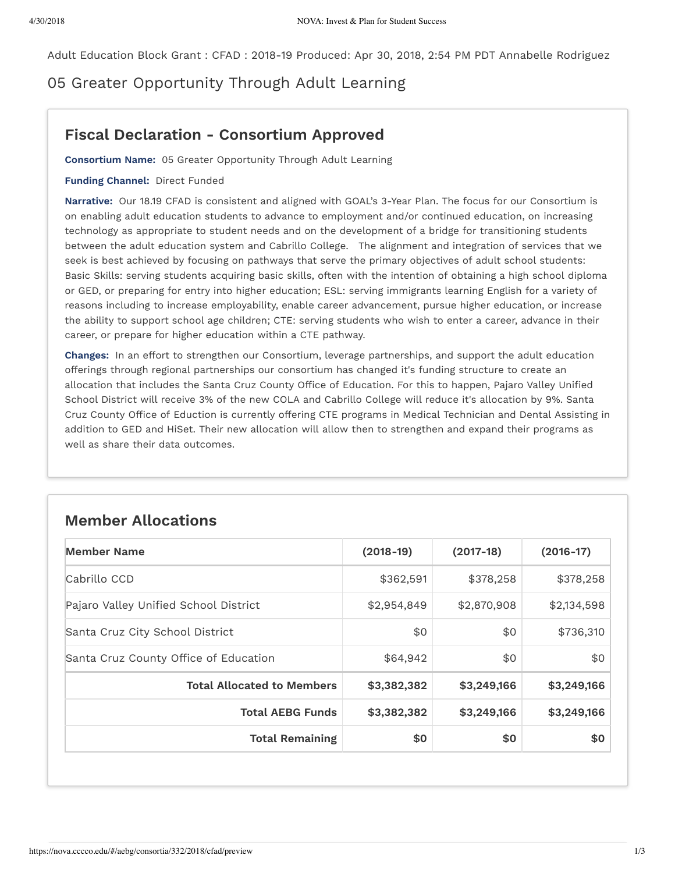Adult Education Block Grant : CFAD : 2018-19 Produced: Apr 30, 2018, 2:54 PM PDT Annabelle Rodriguez

05 Greater Opportunity Through Adult Learning

## **Fiscal Declaration - Consortium Approved**

**Consortium Name:** 05 Greater Opportunity Through Adult Learning

## **Funding Channel:** Direct Funded

**Narrative:** Our 18.19 CFAD is consistent and aligned with GOAL's 3-Year Plan. The focus for our Consortium is on enabling adult education students to advance to employment and/or continued education, on increasing technology as appropriate to student needs and on the development of a bridge for transitioning students between the adult education system and Cabrillo College. The alignment and integration of services that we seek is best achieved by focusing on pathways that serve the primary objectives of adult school students: Basic Skills: serving students acquiring basic skills, often with the intention of obtaining a high school diploma or GED, or preparing for entry into higher education; ESL: serving immigrants learning English for a variety of reasons including to increase employability, enable career advancement, pursue higher education, or increase the ability to support school age children; CTE: serving students who wish to enter a career, advance in their career, or prepare for higher education within a CTE pathway.

**Changes:** In an effort to strengthen our Consortium, leverage partnerships, and support the adult education offerings through regional partnerships our consortium has changed it's funding structure to create an allocation that includes the Santa Cruz County Office of Education. For this to happen, Pajaro Valley Unified School District will receive 3% of the new COLA and Cabrillo College will reduce it's allocation by 9%. Santa Cruz County Office of Eduction is currently offering CTE programs in Medical Technician and Dental Assisting in addition to GED and HiSet. Their new allocation will allow then to strengthen and expand their programs as well as share their data outcomes.

## **Member Allocations**

| <b>Member Name</b>                    | $(2018-19)$ | $(2017-18)$ | $(2016-17)$ |
|---------------------------------------|-------------|-------------|-------------|
| Cabrillo CCD                          | \$362,591   | \$378,258   | \$378,258   |
| Pajaro Valley Unified School District | \$2,954,849 | \$2,870,908 | \$2,134,598 |
| Santa Cruz City School District       | \$0         | \$0         | \$736,310   |
| Santa Cruz County Office of Education | \$64,942    | \$0         | \$0         |
| <b>Total Allocated to Members</b>     | \$3,382,382 | \$3,249,166 | \$3,249,166 |
| <b>Total AEBG Funds</b>               | \$3,382,382 | \$3,249,166 | \$3,249,166 |
| <b>Total Remaining</b>                | \$0         | \$0         | \$0         |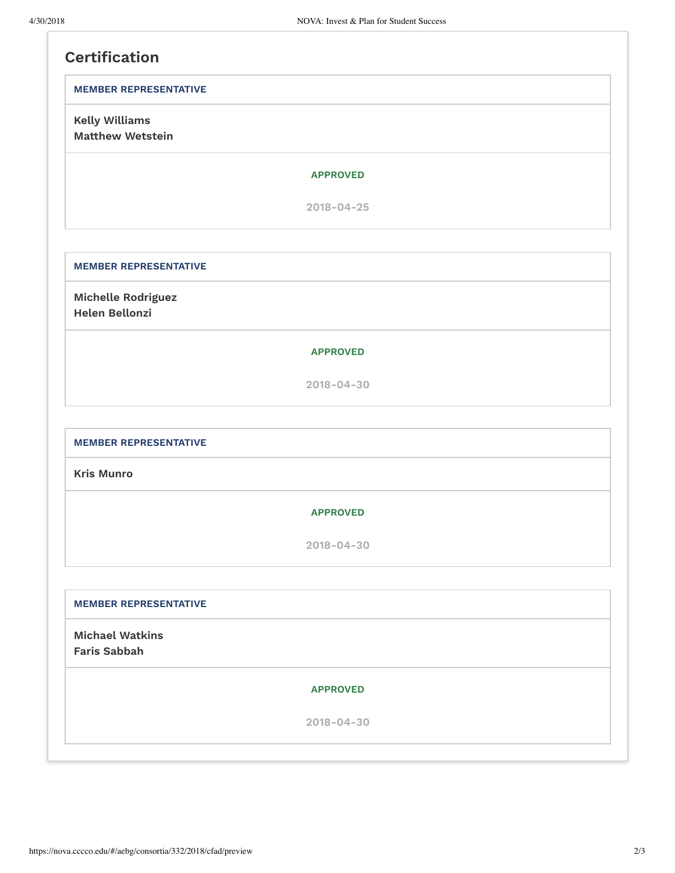| <b>MEMBER REPRESENTATIVE</b>                     |                  |  |
|--------------------------------------------------|------------------|--|
| <b>Kelly Williams</b><br><b>Matthew Wetstein</b> |                  |  |
|                                                  | <b>APPROVED</b>  |  |
|                                                  | $2018 - 04 - 25$ |  |
| <b>MEMBER REPRESENTATIVE</b>                     |                  |  |
| Michelle Rodriguez<br><b>Helen Bellonzi</b>      |                  |  |
|                                                  | <b>APPROVED</b>  |  |
|                                                  | $2018 - 04 - 30$ |  |
| <b>MEMBER REPRESENTATIVE</b>                     |                  |  |
| <b>Kris Munro</b>                                |                  |  |
|                                                  | <b>APPROVED</b>  |  |
|                                                  | $2018 - 04 - 30$ |  |
| <b>MEMBER REPRESENTATIVE</b>                     |                  |  |
| <b>Michael Watkins</b><br><b>Faris Sabbah</b>    |                  |  |
|                                                  | <b>APPROVED</b>  |  |
|                                                  |                  |  |